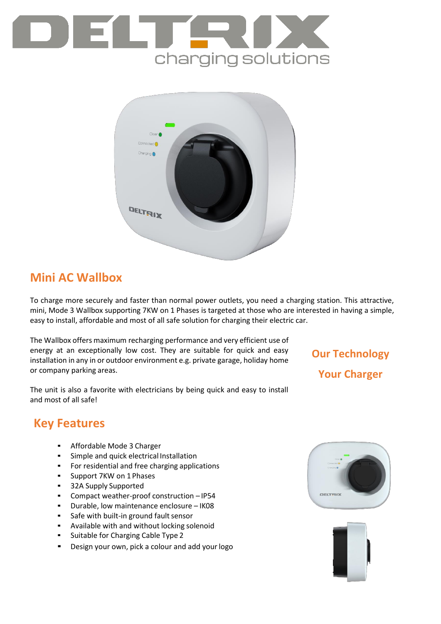



### **Mini AC Wallbox**

To charge more securely and faster than normal power outlets, you need a charging station. This attractive, mini, Mode 3 Wallbox supporting 7KW on 1 Phases is targeted at those who are interested in having a simple, easy to install, affordable and most of all safe solution for charging their electric car.

The Wallbox offers maximum recharging performance and very efficient use of energy at an exceptionally low cost. They are suitable for quick and easy installation in any in or outdoor environment e.g. private garage, holiday home or company parking areas.

The unit is also a favorite with electricians by being quick and easy to install and most of all safe!

# **Our Technology Your Charger**

## **Key Features**

- Affordable Mode 3 Charger
- Simple and quick electrical Installation
- For residential and free charging applications
- Support 7KW on 1 Phases
- 32A Supply Supported
- Compact weather-proof construction IP54
- Durable, low maintenance enclosure IK08
- Safe with built-in ground fault sensor
- Available with and without locking solenoid
- Suitable for Charging Cable Type 2
- Design your own, pick a colour and add your logo